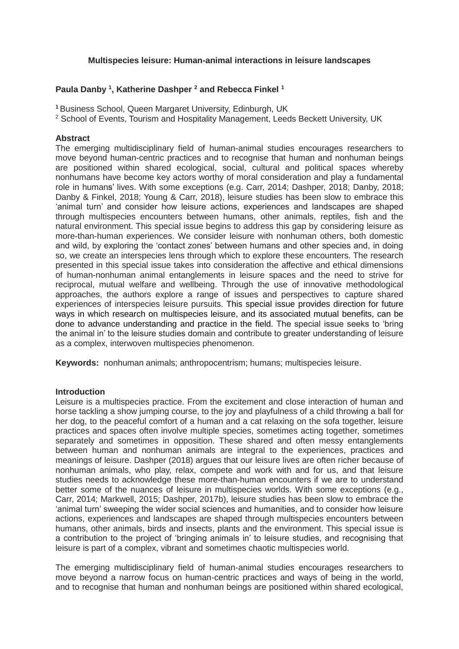## **Multispecies leisure: Human-animal interactions in leisure landscapes**

# **Paula Danby <sup>1</sup> , Katherine Dashper <sup>2</sup> and Rebecca Finkel <sup>1</sup>**

**<sup>1</sup>**Business School, Queen Margaret University, Edinburgh, UK

<sup>2</sup> School of Events, Tourism and Hospitality Management, Leeds Beckett University, UK

## **Abstract**

The emerging multidisciplinary field of human-animal studies encourages researchers to move beyond human-centric practices and to recognise that human and nonhuman beings are positioned within shared ecological, social, cultural and political spaces whereby nonhumans have become key actors worthy of moral consideration and play a fundamental role in humans' lives. With some exceptions (e.g. Carr, 2014; Dashper, 2018; Danby, 2018; Danby & Finkel, 2018; Young & Carr, 2018), leisure studies has been slow to embrace this 'animal turn' and consider how leisure actions, experiences and landscapes are shaped through multispecies encounters between humans, other animals, reptiles, fish and the natural environment. This special issue begins to address this gap by considering leisure as more-than-human experiences. We consider leisure with nonhuman others, both domestic and wild, by exploring the 'contact zones' between humans and other species and, in doing so, we create an interspecies lens through which to explore these encounters. The research presented in this special issue takes into consideration the affective and ethical dimensions of human-nonhuman animal entanglements in leisure spaces and the need to strive for reciprocal, mutual welfare and wellbeing. Through the use of innovative methodological approaches, the authors explore a range of issues and perspectives to capture shared experiences of interspecies leisure pursuits. This special issue provides direction for future ways in which research on multispecies leisure, and its associated mutual benefits, can be done to advance understanding and practice in the field. The special issue seeks to 'bring the animal in' to the leisure studies domain and contribute to greater understanding of leisure as a complex, interwoven multispecies phenomenon.

**Keywords:** nonhuman animals; anthropocentrism; humans; multispecies leisure.

## **Introduction**

Leisure is a multispecies practice. From the excitement and close interaction of human and horse tackling a show jumping course, to the joy and playfulness of a child throwing a ball for her dog, to the peaceful comfort of a human and a cat relaxing on the sofa together, leisure practices and spaces often involve multiple species, sometimes acting together, sometimes separately and sometimes in opposition. These shared and often messy entanglements between human and nonhuman animals are integral to the experiences, practices and meanings of leisure. Dashper (2018) argues that our leisure lives are often richer because of nonhuman animals, who play, relax, compete and work with and for us, and that leisure studies needs to acknowledge these more-than-human encounters if we are to understand better some of the nuances of leisure in multispecies worlds. With some exceptions (e.g., Carr, 2014; Markwell, 2015; Dashper, 2017b), leisure studies has been slow to embrace the 'animal turn' sweeping the wider social sciences and humanities, and to consider how leisure actions, experiences and landscapes are shaped through multispecies encounters between humans, other animals, birds and insects, plants and the environment. This special issue is a contribution to the project of 'bringing animals in' to leisure studies, and recognising that leisure is part of a complex, vibrant and sometimes chaotic multispecies world.

The emerging multidisciplinary field of human-animal studies encourages researchers to move beyond a narrow focus on human-centric practices and ways of being in the world, and to recognise that human and nonhuman beings are positioned within shared ecological,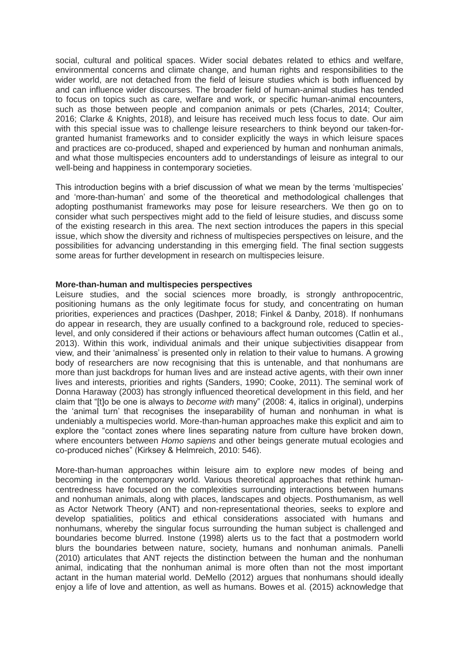social, cultural and political spaces. Wider social debates related to ethics and welfare, environmental concerns and climate change, and human rights and responsibilities to the wider world, are not detached from the field of leisure studies which is both influenced by and can influence wider discourses. The broader field of human-animal studies has tended to focus on topics such as care, welfare and work, or specific human-animal encounters, such as those between people and companion animals or pets (Charles, 2014; Coulter, 2016; Clarke & Knights, 2018), and leisure has received much less focus to date. Our aim with this special issue was to challenge leisure researchers to think beyond our taken-forgranted humanist frameworks and to consider explicitly the ways in which leisure spaces and practices are co-produced, shaped and experienced by human and nonhuman animals, and what those multispecies encounters add to understandings of leisure as integral to our well-being and happiness in contemporary societies.

This introduction begins with a brief discussion of what we mean by the terms 'multispecies' and 'more-than-human' and some of the theoretical and methodological challenges that adopting posthumanist frameworks may pose for leisure researchers. We then go on to consider what such perspectives might add to the field of leisure studies, and discuss some of the existing research in this area. The next section introduces the papers in this special issue, which show the diversity and richness of multispecies perspectives on leisure, and the possibilities for advancing understanding in this emerging field. The final section suggests some areas for further development in research on multispecies leisure.

#### **More-than-human and multispecies perspectives**

Leisure studies, and the social sciences more broadly, is strongly anthropocentric, positioning humans as the only legitimate focus for study, and concentrating on human priorities, experiences and practices (Dashper, 2018; Finkel & Danby, 2018). If nonhumans do appear in research, they are usually confined to a background role, reduced to specieslevel, and only considered if their actions or behaviours affect human outcomes (Catlin et al., 2013). Within this work, individual animals and their unique subjectivities disappear from view, and their 'animalness' is presented only in relation to their value to humans. A growing body of researchers are now recognising that this is untenable, and that nonhumans are more than just backdrops for human lives and are instead active agents, with their own inner lives and interests, priorities and rights (Sanders, 1990; Cooke, 2011). The seminal work of Donna Haraway (2003) has strongly influenced theoretical development in this field, and her claim that "[t]o be one is always to *become with* many" (2008: 4, italics in original), underpins the 'animal turn' that recognises the inseparability of human and nonhuman in what is undeniably a multispecies world. More-than-human approaches make this explicit and aim to explore the "contact zones where lines separating nature from culture have broken down, where encounters between *Homo sapiens* and other beings generate mutual ecologies and co-produced niches" (Kirksey & Helmreich, 2010: 546).

More-than-human approaches within leisure aim to explore new modes of being and becoming in the contemporary world. Various theoretical approaches that rethink humancentredness have focused on the complexities surrounding interactions between humans and nonhuman animals, along with places, landscapes and objects. Posthumanism, as well as Actor Network Theory (ANT) and non-representational theories, seeks to explore and develop spatialities, politics and ethical considerations associated with humans and nonhumans, whereby the singular focus surrounding the human subject is challenged and boundaries become blurred. Instone (1998) alerts us to the fact that a postmodern world blurs the boundaries between nature, society, humans and nonhuman animals. Panelli (2010) articulates that ANT rejects the distinction between the human and the nonhuman animal, indicating that the nonhuman animal is more often than not the most important actant in the human material world. DeMello (2012) argues that nonhumans should ideally enjoy a life of love and attention, as well as humans. Bowes et al. (2015) acknowledge that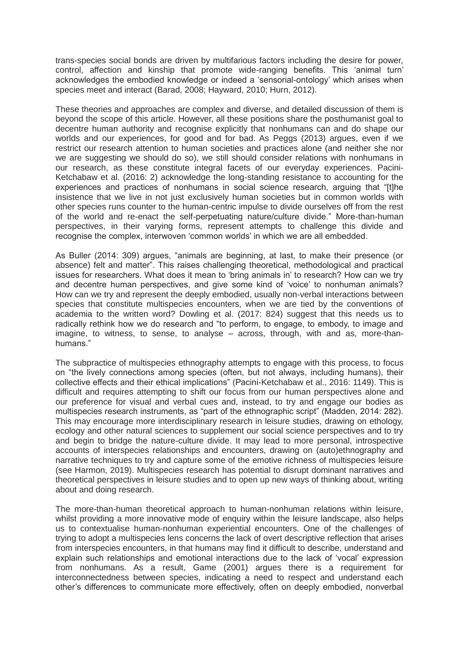trans-species social bonds are driven by multifarious factors including the desire for power, control, affection and kinship that promote wide-ranging benefits. This 'animal turn' acknowledges the embodied knowledge or indeed a 'sensorial-ontology' which arises when species meet and interact (Barad, 2008; Hayward, 2010; Hurn, 2012).

These theories and approaches are complex and diverse, and detailed discussion of them is beyond the scope of this article. However, all these positions share the posthumanist goal to decentre human authority and recognise explicitly that nonhumans can and do shape our worlds and our experiences, for good and for bad. As Peggs (2013) argues, even if we restrict our research attention to human societies and practices alone (and neither she nor we are suggesting we should do so), we still should consider relations with nonhumans in our research, as these constitute integral facets of our everyday experiences. Pacini-Ketchabaw et al. (2016: 2) acknowledge the long-standing resistance to accounting for the experiences and practices of nonhumans in social science research, arguing that "[t]he insistence that we live in not just exclusively human societies but in common worlds with other species runs counter to the human-centric impulse to divide ourselves off from the rest of the world and re-enact the self-perpetuating nature/culture divide." More-than-human perspectives, in their varying forms, represent attempts to challenge this divide and recognise the complex, interwoven 'common worlds' in which we are all embedded.

As Buller (2014: 309) argues, "animals are beginning, at last, to make their presence (or absence) felt and matter". This raises challenging theoretical, methodological and practical issues for researchers. What does it mean to 'bring animals in' to research? How can we try and decentre human perspectives, and give some kind of 'voice' to nonhuman animals? How can we try and represent the deeply embodied, usually non-verbal interactions between species that constitute multispecies encounters, when we are tied by the conventions of academia to the written word? Dowling et al. (2017: 824) suggest that this needs us to radically rethink how we do research and "to perform, to engage, to embody, to image and imagine, to witness, to sense, to analyse – across, through, with and as, more-thanhumans."

The subpractice of multispecies ethnography attempts to engage with this process, to focus on "the lively connections among species (often, but not always, including humans), their collective effects and their ethical implications" (Pacini-Ketchabaw et al., 2016: 1149). This is difficult and requires attempting to shift our focus from our human perspectives alone and our preference for visual and verbal cues and, instead, to try and engage our bodies as multispecies research instruments, as "part of the ethnographic script" (Madden, 2014: 282). This may encourage more interdisciplinary research in leisure studies, drawing on ethology, ecology and other natural sciences to supplement our social science perspectives and to try and begin to bridge the nature-culture divide. It may lead to more personal, introspective accounts of interspecies relationships and encounters, drawing on (auto)ethnography and narrative techniques to try and capture some of the emotive richness of multispecies leisure (see Harmon, 2019). Multispecies research has potential to disrupt dominant narratives and theoretical perspectives in leisure studies and to open up new ways of thinking about, writing about and doing research.

The more-than-human theoretical approach to human-nonhuman relations within leisure, whilst providing a more innovative mode of enquiry within the leisure landscape, also helps us to contextualise human-nonhuman experiential encounters. One of the challenges of trying to adopt a multispecies lens concerns the lack of overt descriptive reflection that arises from interspecies encounters, in that humans may find it difficult to describe, understand and explain such relationships and emotional interactions due to the lack of 'vocal' expression from nonhumans. As a result, Game (2001) argues there is a requirement for interconnectedness between species, indicating a need to respect and understand each other's differences to communicate more effectively, often on deeply embodied, nonverbal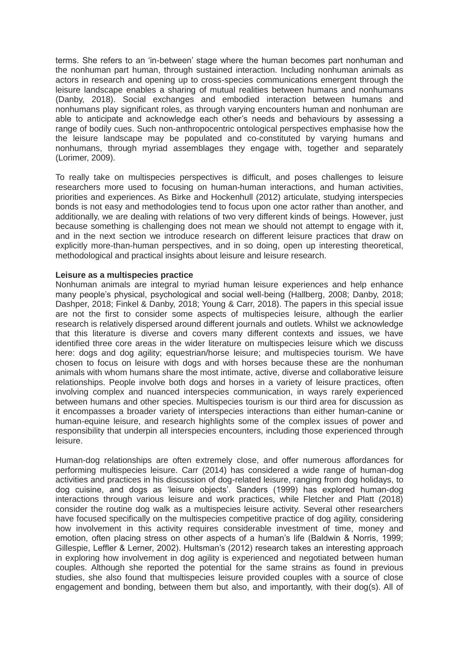terms. She refers to an 'in-between' stage where the human becomes part nonhuman and the nonhuman part human, through sustained interaction. Including nonhuman animals as actors in research and opening up to cross-species communications emergent through the leisure landscape enables a sharing of mutual realities between humans and nonhumans (Danby, 2018). Social exchanges and embodied interaction between humans and nonhumans play significant roles, as through varying encounters human and nonhuman are able to anticipate and acknowledge each other's needs and behaviours by assessing a range of bodily cues. Such non-anthropocentric ontological perspectives emphasise how the the leisure landscape may be populated and co-constituted by varying humans and nonhumans, through myriad assemblages they engage with, together and separately (Lorimer, 2009).

To really take on multispecies perspectives is difficult, and poses challenges to leisure researchers more used to focusing on human-human interactions, and human activities, priorities and experiences. As Birke and Hockenhull (2012) articulate, studying interspecies bonds is not easy and methodologies tend to focus upon one actor rather than another, and additionally, we are dealing with relations of two very different kinds of beings. However, just because something is challenging does not mean we should not attempt to engage with it, and in the next section we introduce research on different leisure practices that draw on explicitly more-than-human perspectives, and in so doing, open up interesting theoretical, methodological and practical insights about leisure and leisure research.

## **Leisure as a multispecies practice**

Nonhuman animals are integral to myriad human leisure experiences and help enhance many people's physical, psychological and social well-being (Hallberg, 2008; Danby, 2018; Dashper, 2018; Finkel & Danby, 2018; Young & Carr, 2018). The papers in this special issue are not the first to consider some aspects of multispecies leisure, although the earlier research is relatively dispersed around different journals and outlets. Whilst we acknowledge that this literature is diverse and covers many different contexts and issues, we have identified three core areas in the wider literature on multispecies leisure which we discuss here: dogs and dog agility; equestrian/horse leisure; and multispecies tourism. We have chosen to focus on leisure with dogs and with horses because these are the nonhuman animals with whom humans share the most intimate, active, diverse and collaborative leisure relationships. People involve both dogs and horses in a variety of leisure practices, often involving complex and nuanced interspecies communication, in ways rarely experienced between humans and other species. Multispecies tourism is our third area for discussion as it encompasses a broader variety of interspecies interactions than either human-canine or human-equine leisure, and research highlights some of the complex issues of power and responsibility that underpin all interspecies encounters, including those experienced through leisure.

Human-dog relationships are often extremely close, and offer numerous affordances for performing multispecies leisure. Carr (2014) has considered a wide range of human-dog activities and practices in his discussion of dog-related leisure, ranging from dog holidays, to dog cuisine, and dogs as 'leisure objects'. Sanders (1999) has explored human-dog interactions through various leisure and work practices, while Fletcher and Platt (2018) consider the routine dog walk as a multispecies leisure activity. Several other researchers have focused specifically on the multispecies competitive practice of dog agility, considering how involvement in this activity requires considerable investment of time, money and emotion, often placing stress on other aspects of a human's life (Baldwin & Norris, 1999; Gillespie, Leffler & Lerner, 2002). Hultsman's (2012) research takes an interesting approach in exploring how involvement in dog agility is experienced and negotiated between human couples. Although she reported the potential for the same strains as found in previous studies, she also found that multispecies leisure provided couples with a source of close engagement and bonding, between them but also, and importantly, with their dog(s). All of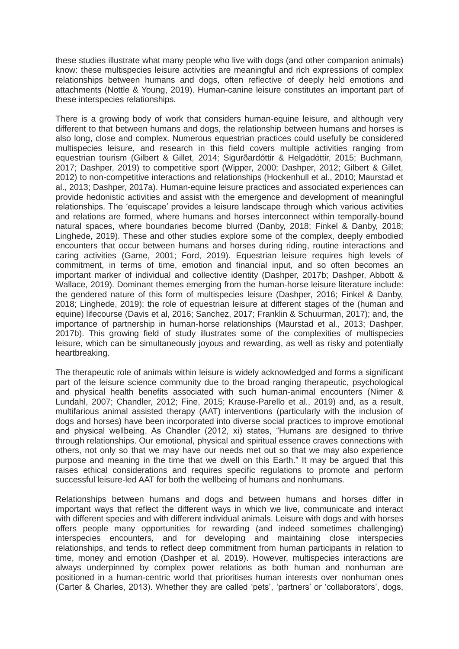these studies illustrate what many people who live with dogs (and other companion animals) know: these multispecies leisure activities are meaningful and rich expressions of complex relationships between humans and dogs, often reflective of deeply held emotions and attachments (Nottle & Young, 2019). Human-canine leisure constitutes an important part of these interspecies relationships.

There is a growing body of work that considers human-equine leisure, and although very different to that between humans and dogs, the relationship between humans and horses is also long, close and complex. Numerous equestrian practices could usefully be considered multispecies leisure, and research in this field covers multiple activities ranging from equestrian tourism (Gilbert & Gillet, 2014; Sigurðardóttir & Helgadóttir, 2015; Buchmann, 2017; Dashper, 2019) to competitive sport (Wipper, 2000; Dashper, 2012; Gilbert & Gillet, 2012) to non-competitive interactions and relationships (Hockenhull et al., 2010; Maurstad et al., 2013; Dashper, 2017a). Human-equine leisure practices and associated experiences can provide hedonistic activities and assist with the emergence and development of meaningful relationships. The 'equiscape' provides a leisure landscape through which various activities and relations are formed, where humans and horses interconnect within temporally-bound natural spaces, where boundaries become blurred (Danby, 2018; Finkel & Danby, 2018; Linghede, 2019). These and other studies explore some of the complex, deeply embodied encounters that occur between humans and horses during riding, routine interactions and caring activities (Game, 2001; Ford, 2019). Equestrian leisure requires high levels of commitment, in terms of time, emotion and financial input, and so often becomes an important marker of individual and collective identity (Dashper, 2017b; Dashper, Abbott & Wallace, 2019). Dominant themes emerging from the human-horse leisure literature include: the gendered nature of this form of multispecies leisure (Dashper, 2016; Finkel & Danby, 2018; Linghede, 2019); the role of equestrian leisure at different stages of the (human and equine) lifecourse (Davis et al, 2016; Sanchez, 2017; Franklin & Schuurman, 2017); and, the importance of partnership in human-horse relationships (Maurstad et al., 2013; Dashper, 2017b). This growing field of study illustrates some of the complexities of multispecies leisure, which can be simultaneously joyous and rewarding, as well as risky and potentially heartbreaking.

The therapeutic role of animals within leisure is widely acknowledged and forms a significant part of the leisure science community due to the broad ranging therapeutic, psychological and physical health benefits associated with such human-animal encounters (Nimer & Lundahl, 2007; Chandler, 2012; Fine, 2015; Krause-Parello et al., 2019) and, as a result, multifarious animal assisted therapy (AAT) interventions (particularly with the inclusion of dogs and horses) have been incorporated into diverse social practices to improve emotional and physical wellbeing. As Chandler (2012, xi) states, "Humans are designed to thrive through relationships. Our emotional, physical and spiritual essence craves connections with others, not only so that we may have our needs met out so that we may also experience purpose and meaning in the time that we dwell on this Earth." It may be argued that this raises ethical considerations and requires specific regulations to promote and perform successful leisure-led AAT for both the wellbeing of humans and nonhumans.

Relationships between humans and dogs and between humans and horses differ in important ways that reflect the different ways in which we live, communicate and interact with different species and with different individual animals. Leisure with dogs and with horses offers people many opportunities for rewarding (and indeed sometimes challenging) interspecies encounters, and for developing and maintaining close interspecies relationships, and tends to reflect deep commitment from human participants in relation to time, money and emotion (Dashper et al. 2019). However, multispecies interactions are always underpinned by complex power relations as both human and nonhuman are positioned in a human-centric world that prioritises human interests over nonhuman ones (Carter & Charles, 2013). Whether they are called 'pets', 'partners' or 'collaborators', dogs,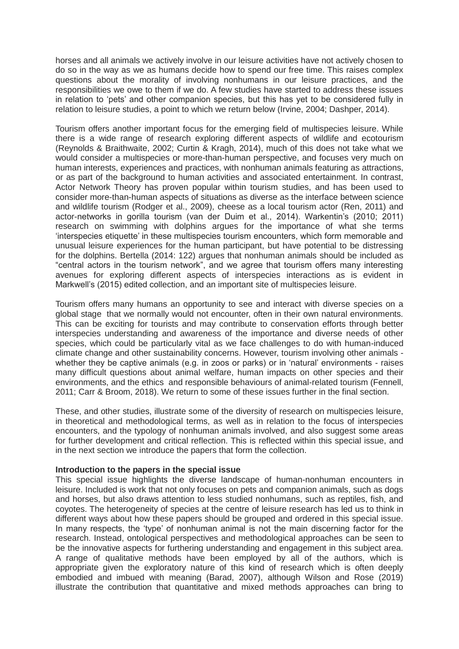horses and all animals we actively involve in our leisure activities have not actively chosen to do so in the way as we as humans decide how to spend our free time. This raises complex questions about the morality of involving nonhumans in our leisure practices, and the responsibilities we owe to them if we do. A few studies have started to address these issues in relation to 'pets' and other companion species, but this has yet to be considered fully in relation to leisure studies, a point to which we return below (Irvine, 2004; Dashper, 2014).

Tourism offers another important focus for the emerging field of multispecies leisure. While there is a wide range of research exploring different aspects of wildlife and ecotourism (Reynolds & Braithwaite, 2002; Curtin & Kragh, 2014), much of this does not take what we would consider a multispecies or more-than-human perspective, and focuses very much on human interests, experiences and practices, with nonhuman animals featuring as attractions, or as part of the background to human activities and associated entertainment. In contrast, Actor Network Theory has proven popular within tourism studies, and has been used to consider more-than-human aspects of situations as diverse as the interface between science and wildlife tourism (Rodger et al., 2009), cheese as a local tourism actor (Ren, 2011) and actor-networks in gorilla tourism (van der Duim et al., 2014). Warkentin's (2010; 2011) research on swimming with dolphins argues for the importance of what she terms 'interspecies etiquette' in these multispecies tourism encounters, which form memorable and unusual leisure experiences for the human participant, but have potential to be distressing for the dolphins. Bertella (2014: 122) argues that nonhuman animals should be included as "central actors in the tourism network", and we agree that tourism offers many interesting avenues for exploring different aspects of interspecies interactions as is evident in Markwell's (2015) edited collection, and an important site of multispecies leisure.

Tourism offers many humans an opportunity to see and interact with diverse species on a global stage that we normally would not encounter, often in their own natural environments. This can be exciting for tourists and may contribute to conservation efforts through better interspecies understanding and awareness of the importance and diverse needs of other species, which could be particularly vital as we face challenges to do with human-induced climate change and other sustainability concerns. However, tourism involving other animals whether they be captive animals (e.g. in zoos or parks) or in 'natural' environments - raises many difficult questions about animal welfare, human impacts on other species and their environments, and the ethics and responsible behaviours of animal-related tourism (Fennell, 2011; Carr & Broom, 2018). We return to some of these issues further in the final section.

These, and other studies, illustrate some of the diversity of research on multispecies leisure, in theoretical and methodological terms, as well as in relation to the focus of interspecies encounters, and the typology of nonhuman animals involved, and also suggest some areas for further development and critical reflection. This is reflected within this special issue, and in the next section we introduce the papers that form the collection.

## **Introduction to the papers in the special issue**

This special issue highlights the diverse landscape of human-nonhuman encounters in leisure. Included is work that not only focuses on pets and companion animals, such as dogs and horses, but also draws attention to less studied nonhumans, such as reptiles, fish, and coyotes. The heterogeneity of species at the centre of leisure research has led us to think in different ways about how these papers should be grouped and ordered in this special issue. In many respects, the 'type' of nonhuman animal is not the main discerning factor for the research. Instead, ontological perspectives and methodological approaches can be seen to be the innovative aspects for furthering understanding and engagement in this subject area. A range of qualitative methods have been employed by all of the authors, which is appropriate given the exploratory nature of this kind of research which is often deeply embodied and imbued with meaning (Barad, 2007), although Wilson and Rose (2019) illustrate the contribution that quantitative and mixed methods approaches can bring to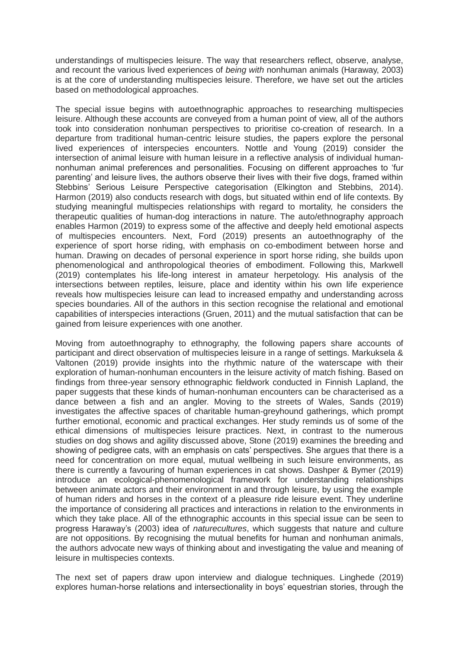understandings of multispecies leisure. The way that researchers reflect, observe, analyse, and recount the various lived experiences of *being with* nonhuman animals (Haraway, 2003) is at the core of understanding multispecies leisure. Therefore, we have set out the articles based on methodological approaches.

The special issue begins with autoethnographic approaches to researching multispecies leisure. Although these accounts are conveyed from a human point of view, all of the authors took into consideration nonhuman perspectives to prioritise co-creation of research. In a departure from traditional human-centric leisure studies, the papers explore the personal lived experiences of interspecies encounters. Nottle and Young (2019) consider the intersection of animal leisure with human leisure in a reflective analysis of individual humannonhuman animal preferences and personalities. Focusing on different approaches to 'fur parenting' and leisure lives, the authors observe their lives with their five dogs, framed within Stebbins' Serious Leisure Perspective categorisation (Elkington and Stebbins, 2014). Harmon (2019) also conducts research with dogs, but situated within end of life contexts. By studying meaningful multispecies relationships with regard to mortality, he considers the therapeutic qualities of human-dog interactions in nature. The auto/ethnography approach enables Harmon (2019) to express some of the affective and deeply held emotional aspects of multispecies encounters. Next, Ford (2019) presents an autoethnography of the experience of sport horse riding, with emphasis on co-embodiment between horse and human. Drawing on decades of personal experience in sport horse riding, she builds upon phenomenological and anthropological theories of embodiment. Following this, Markwell (2019) contemplates his life-long interest in amateur herpetology. His analysis of the intersections between reptiles, leisure, place and identity within his own life experience reveals how multispecies leisure can lead to increased empathy and understanding across species boundaries. All of the authors in this section recognise the relational and emotional capabilities of interspecies interactions (Gruen, 2011) and the mutual satisfaction that can be gained from leisure experiences with one another.

Moving from autoethnography to ethnography, the following papers share accounts of participant and direct observation of multispecies leisure in a range of settings. Markuksela & Valtonen (2019) provide insights into the rhythmic nature of the waterscape with their exploration of human-nonhuman encounters in the leisure activity of match fishing. Based on findings from three-year sensory ethnographic fieldwork conducted in Finnish Lapland, the paper suggests that these kinds of human-nonhuman encounters can be characterised as a dance between a fish and an angler. Moving to the streets of Wales, Sands (2019) investigates the affective spaces of charitable human-greyhound gatherings, which prompt further emotional, economic and practical exchanges. Her study reminds us of some of the ethical dimensions of multispecies leisure practices. Next, in contrast to the numerous studies on dog shows and agility discussed above, Stone (2019) examines the breeding and showing of pedigree cats, with an emphasis on cats' perspectives. She argues that there is a need for concentration on more equal, mutual wellbeing in such leisure environments, as there is currently a favouring of human experiences in cat shows. Dashper & Bymer (2019) introduce an ecological-phenomenological framework for understanding relationships between animate actors and their environment in and through leisure, by using the example of human riders and horses in the context of a pleasure ride leisure event. They underline the importance of considering all practices and interactions in relation to the environments in which they take place. All of the ethnographic accounts in this special issue can be seen to progress Haraway's (2003) idea of *naturecultures*, which suggests that nature and culture are not oppositions. By recognising the mutual benefits for human and nonhuman animals, the authors advocate new ways of thinking about and investigating the value and meaning of leisure in multispecies contexts.

The next set of papers draw upon interview and dialogue techniques. Linghede (2019) explores human-horse relations and intersectionality in boys' equestrian stories, through the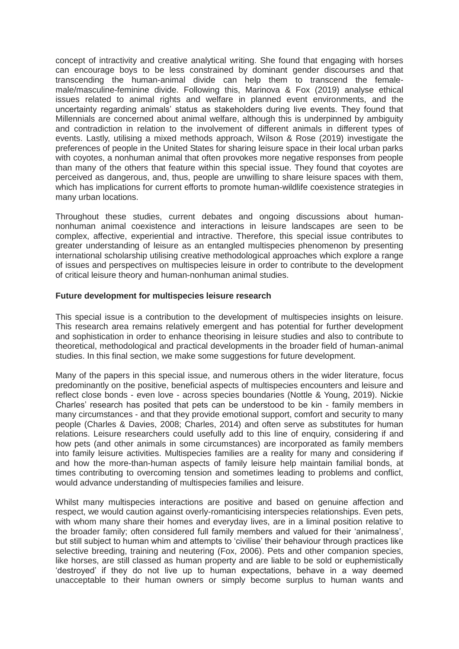concept of intractivity and creative analytical writing. She found that engaging with horses can encourage boys to be less constrained by dominant gender discourses and that transcending the human-animal divide can help them to transcend the femalemale/masculine-feminine divide. Following this, Marinova & Fox (2019) analyse ethical issues related to animal rights and welfare in planned event environments, and the uncertainty regarding animals' status as stakeholders during live events. They found that Millennials are concerned about animal welfare, although this is underpinned by ambiguity and contradiction in relation to the involvement of different animals in different types of events. Lastly, utilising a mixed methods approach, Wilson & Rose (2019) investigate the preferences of people in the United States for sharing leisure space in their local urban parks with coyotes, a nonhuman animal that often provokes more negative responses from people than many of the others that feature within this special issue. They found that coyotes are perceived as dangerous, and, thus, people are unwilling to share leisure spaces with them, which has implications for current efforts to promote human-wildlife coexistence strategies in many urban locations.

Throughout these studies, current debates and ongoing discussions about humannonhuman animal coexistence and interactions in leisure landscapes are seen to be complex, affective, experiential and intractive. Therefore, this special issue contributes to greater understanding of leisure as an entangled multispecies phenomenon by presenting international scholarship utilising creative methodological approaches which explore a range of issues and perspectives on multispecies leisure in order to contribute to the development of critical leisure theory and human-nonhuman animal studies.

## **Future development for multispecies leisure research**

This special issue is a contribution to the development of multispecies insights on leisure. This research area remains relatively emergent and has potential for further development and sophistication in order to enhance theorising in leisure studies and also to contribute to theoretical, methodological and practical developments in the broader field of human-animal studies. In this final section, we make some suggestions for future development.

Many of the papers in this special issue, and numerous others in the wider literature, focus predominantly on the positive, beneficial aspects of multispecies encounters and leisure and reflect close bonds - even love - across species boundaries (Nottle & Young, 2019). Nickie Charles' research has posited that pets can be understood to be kin - family members in many circumstances - and that they provide emotional support, comfort and security to many people (Charles & Davies, 2008; Charles, 2014) and often serve as substitutes for human relations. Leisure researchers could usefully add to this line of enquiry, considering if and how pets (and other animals in some circumstances) are incorporated as family members into family leisure activities. Multispecies families are a reality for many and considering if and how the more-than-human aspects of family leisure help maintain familial bonds, at times contributing to overcoming tension and sometimes leading to problems and conflict, would advance understanding of multispecies families and leisure.

Whilst many multispecies interactions are positive and based on genuine affection and respect, we would caution against overly-romanticising interspecies relationships. Even pets, with whom many share their homes and everyday lives, are in a liminal position relative to the broader family; often considered full family members and valued for their 'animalness', but still subject to human whim and attempts to 'civilise' their behaviour through practices like selective breeding, training and neutering (Fox, 2006). Pets and other companion species, like horses, are still classed as human property and are liable to be sold or euphemistically 'destroyed' if they do not live up to human expectations, behave in a way deemed unacceptable to their human owners or simply become surplus to human wants and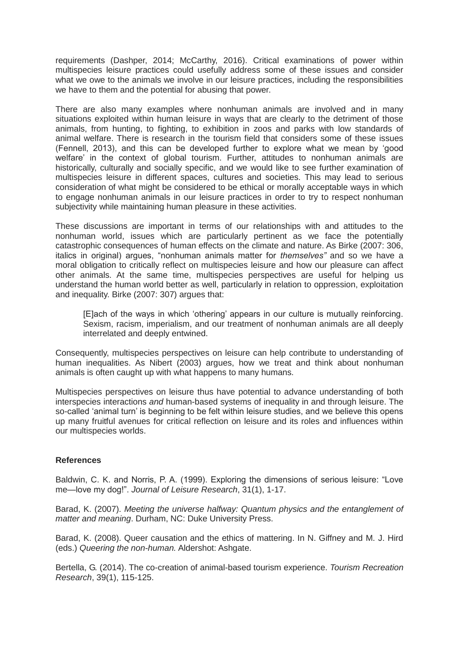requirements (Dashper, 2014; McCarthy, 2016). Critical examinations of power within multispecies leisure practices could usefully address some of these issues and consider what we owe to the animals we involve in our leisure practices, including the responsibilities we have to them and the potential for abusing that power.

There are also many examples where nonhuman animals are involved and in many situations exploited within human leisure in ways that are clearly to the detriment of those animals, from hunting, to fighting, to exhibition in zoos and parks with low standards of animal welfare. There is research in the tourism field that considers some of these issues (Fennell, 2013), and this can be developed further to explore what we mean by 'good welfare' in the context of global tourism. Further, attitudes to nonhuman animals are historically, culturally and socially specific, and we would like to see further examination of multispecies leisure in different spaces, cultures and societies. This may lead to serious consideration of what might be considered to be ethical or morally acceptable ways in which to engage nonhuman animals in our leisure practices in order to try to respect nonhuman subjectivity while maintaining human pleasure in these activities.

These discussions are important in terms of our relationships with and attitudes to the nonhuman world, issues which are particularly pertinent as we face the potentially catastrophic consequences of human effects on the climate and nature. As Birke (2007: 306, italics in original) argues, "nonhuman animals matter for *themselves"* and so we have a moral obligation to critically reflect on multispecies leisure and how our pleasure can affect other animals. At the same time, multispecies perspectives are useful for helping us understand the human world better as well, particularly in relation to oppression, exploitation and inequality. Birke (2007: 307) argues that:

[E]ach of the ways in which 'othering' appears in our culture is mutually reinforcing. Sexism, racism, imperialism, and our treatment of nonhuman animals are all deeply interrelated and deeply entwined.

Consequently, multispecies perspectives on leisure can help contribute to understanding of human inequalities. As Nibert (2003) argues, how we treat and think about nonhuman animals is often caught up with what happens to many humans.

Multispecies perspectives on leisure thus have potential to advance understanding of both interspecies interactions *and* human-based systems of inequality in and through leisure. The so-called 'animal turn' is beginning to be felt within leisure studies, and we believe this opens up many fruitful avenues for critical reflection on leisure and its roles and influences within our multispecies worlds.

## **References**

Baldwin, C. K. and Norris, P. A. (1999). Exploring the dimensions of serious leisure: "Love me—love my dog!". *Journal of Leisure Research*, 31(1), 1-17.

Barad, K. (2007). *Meeting the universe halfway: Quantum physics and the entanglement of matter and meaning*. Durham, NC: Duke University Press.

Barad, K. (2008). Queer causation and the ethics of mattering. In N. Giffney and M. J. Hird (eds.) *Queering the non-human.* Aldershot: Ashgate.

Bertella, G. (2014). The co-creation of animal-based tourism experience. *Tourism Recreation Research*, 39(1), 115-125.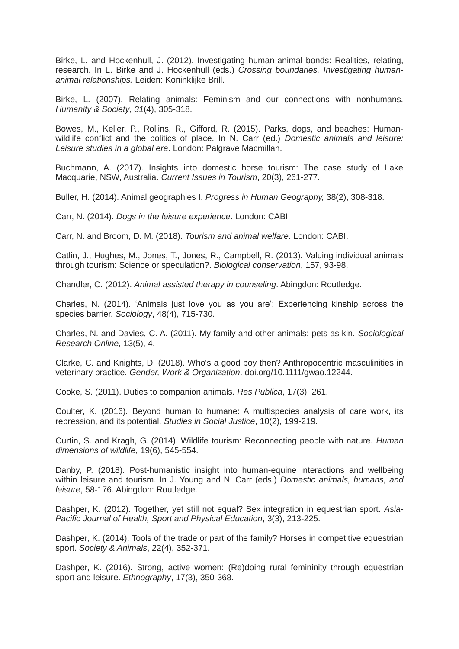Birke, L. and Hockenhull, J. (2012). Investigating human-animal bonds: Realities, relating, research. In L. Birke and J. Hockenhull (eds.) *Crossing boundaries. Investigating humananimal relationships.* Leiden: Koninklijke Brill.

Birke, L. (2007). Relating animals: Feminism and our connections with nonhumans. *Humanity & Society*, *31*(4), 305-318.

Bowes, M., Keller, P., Rollins, R., Gifford, R. (2015). Parks, dogs, and beaches: Humanwildlife conflict and the politics of place. In N. Carr (ed.) *Domestic animals and leisure: Leisure studies in a global era*. London: Palgrave Macmillan.

Buchmann, A. (2017). Insights into domestic horse tourism: The case study of Lake Macquarie, NSW, Australia. *Current Issues in Tourism*, 20(3), 261-277.

Buller, H. (2014). Animal geographies I. *Progress in Human Geography,* 38(2), 308-318.

Carr, N. (2014). *Dogs in the leisure experience*. London: CABI.

Carr, N. and Broom, D. M. (2018). *Tourism and animal welfare*. London: CABI.

Catlin, J., Hughes, M., Jones, T., Jones, R., Campbell, R. (2013). Valuing individual animals through tourism: Science or speculation?. *Biological conservation*, 157, 93-98.

Chandler, C. (2012). *Animal assisted therapy in counseling*. Abingdon: Routledge.

Charles, N. (2014). 'Animals just love you as you are': Experiencing kinship across the species barrier. *Sociology*, 48(4), 715-730.

Charles, N. and Davies, C. A. (2011). My family and other animals: pets as kin. *Sociological Research Online,* 13(5), 4.

Clarke, C. and Knights, D. (2018). Who's a good boy then? Anthropocentric masculinities in veterinary practice. *Gender, Work & Organization*. doi.org/10.1111/gwao.12244.

Cooke, S. (2011). Duties to companion animals. *Res Publica*, 17(3), 261.

Coulter, K. (2016). Beyond human to humane: A multispecies analysis of care work, its repression, and its potential. *Studies in Social Justice*, 10(2), 199-219.

Curtin, S. and Kragh, G. (2014). Wildlife tourism: Reconnecting people with nature. *Human dimensions of wildlife*, 19(6), 545-554.

Danby, P. (2018). Post-humanistic insight into human-equine interactions and wellbeing within leisure and tourism. In J. Young and N. Carr (eds.) *Domestic animals, humans, and leisure*, 58-176. Abingdon: Routledge.

Dashper, K. (2012). Together, yet still not equal? Sex integration in equestrian sport. *Asia-Pacific Journal of Health, Sport and Physical Education*, 3(3), 213-225.

Dashper, K. (2014). Tools of the trade or part of the family? Horses in competitive equestrian sport. *Society & Animals*, 22(4), 352-371.

Dashper, K. (2016). Strong, active women: (Re)doing rural femininity through equestrian sport and leisure. *Ethnography*, 17(3), 350-368.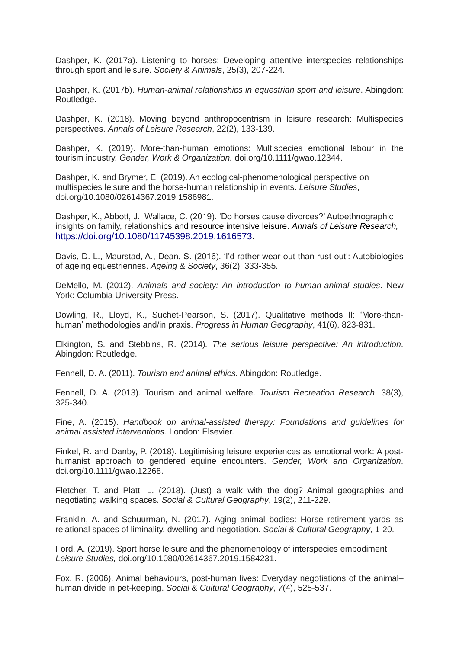Dashper, K. (2017a). Listening to horses: Developing attentive interspecies relationships through sport and leisure. *Society & Animals*, 25(3), 207-224.

Dashper, K. (2017b). *Human-animal relationships in equestrian sport and leisure*. Abingdon: Routledge.

Dashper, K. (2018). Moving beyond anthropocentrism in leisure research: Multispecies perspectives. *Annals of Leisure Research*, 22(2), 133-139.

Dashper, K. (2019). More-than-human emotions: Multispecies emotional labour in the tourism industry. *Gender, Work & Organization.* doi.org/10.1111/gwao.12344.

Dashper, K. and Brymer, E. (2019). An ecological-phenomenological perspective on multispecies leisure and the horse-human relationship in events. *Leisure Studies*, doi.org/10.1080/02614367.2019.1586981.

Dashper, K., Abbott, J., Wallace, C. (2019). 'Do horses cause divorces?' Autoethnographic insights on family, relationships and resource intensive leisure. *Annals of Leisure Research,*  <https://doi.org/10.1080/11745398.2019.1616573>.

Davis, D. L., Maurstad, A., Dean, S. (2016). 'I'd rather wear out than rust out': Autobiologies of ageing equestriennes. *Ageing & Society*, 36(2), 333-355.

DeMello, M. (2012). *Animals and society: An introduction to human-animal studies*. New York: Columbia University Press.

Dowling, R., Lloyd, K., Suchet-Pearson, S. (2017). Qualitative methods II: 'More-thanhuman' methodologies and/in praxis. *Progress in Human Geography*, 41(6), 823-831.

Elkington, S. and Stebbins, R. (2014)*. The serious leisure perspective: An introduction*. Abingdon: Routledge.

Fennell, D. A. (2011). *Tourism and animal ethics*. Abingdon: Routledge.

Fennell, D. A. (2013). Tourism and animal welfare. *Tourism Recreation Research*, 38(3), 325-340.

Fine, A. (2015). *Handbook on animal-assisted therapy: Foundations and guidelines for animal assisted interventions.* London: Elsevier.

Finkel, R. and Danby, P. (2018). Legitimising leisure experiences as emotional work: A posthumanist approach to gendered equine encounters. *Gender, Work and Organization*. doi.org/10.1111/gwao.12268.

Fletcher, T. and Platt, L. (2018). (Just) a walk with the dog? Animal geographies and negotiating walking spaces. *Social & Cultural Geography*, 19(2), 211-229.

Franklin, A. and Schuurman, N. (2017). Aging animal bodies: Horse retirement yards as relational spaces of liminality, dwelling and negotiation. *Social & Cultural Geography*, 1-20.

Ford, A. (2019). Sport horse leisure and the phenomenology of interspecies embodiment. *Leisure Studies,* doi.org/10.1080/02614367.2019.1584231.

Fox, R. (2006). Animal behaviours, post-human lives: Everyday negotiations of the animal– human divide in pet-keeping. *Social & Cultural Geography*, *7*(4), 525-537.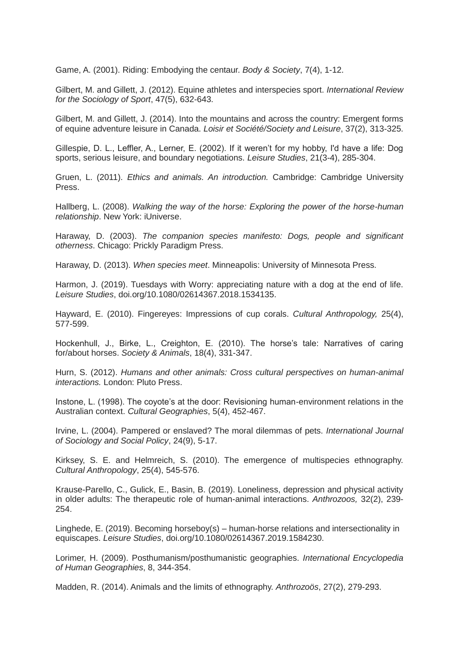Game, A. (2001). Riding: Embodying the centaur. *Body & Society*, 7(4), 1-12.

Gilbert, M. and Gillett, J. (2012). Equine athletes and interspecies sport. *International Review for the Sociology of Sport*, 47(5), 632-643.

Gilbert, M. and Gillett, J. (2014). Into the mountains and across the country: Emergent forms of equine adventure leisure in Canada. *Loisir et Société/Society and Leisure*, 37(2), 313-325.

Gillespie, D. L., Leffler, A., Lerner, E. (2002). If it weren't for my hobby, I'd have a life: Dog sports, serious leisure, and boundary negotiations. *Leisure Studies*, 21(3-4), 285-304.

Gruen, L. (2011). *Ethics and animals. An introduction.* Cambridge: Cambridge University Press.

Hallberg, L. (2008). *Walking the way of the horse: Exploring the power of the horse-human relationship*. New York: iUniverse.

Haraway, D. (2003). *The companion species manifesto: Dogs, people and significant otherness*. Chicago: Prickly Paradigm Press.

Haraway, D. (2013). *When species meet*. Minneapolis: University of Minnesota Press.

Harmon, J. (2019). Tuesdays with Worry: appreciating nature with a dog at the end of life. *Leisure Studies*, doi.org/10.1080/02614367.2018.1534135.

Hayward, E. (2010). Fingereyes: Impressions of cup corals. *Cultural Anthropology,* 25(4), 577-599.

Hockenhull, J., Birke, L., Creighton, E. (2010). The horse's tale: Narratives of caring for/about horses. *Society & Animals*, 18(4), 331-347.

Hurn, S. (2012). *Humans and other animals: Cross cultural perspectives on human-animal interactions.* London: Pluto Press.

Instone, L. (1998). The coyote's at the door: Revisioning human-environment relations in the Australian context. *Cultural Geographies*, 5(4), 452-467.

Irvine, L. (2004). Pampered or enslaved? The moral dilemmas of pets. *International Journal of Sociology and Social Policy*, 24(9), 5-17.

Kirksey, S. E. and Helmreich, S. (2010). The emergence of multispecies ethnography. *Cultural Anthropology*, 25(4), 545-576.

Krause-Parello, C., Gulick, E., Basin, B. (2019). Loneliness, depression and physical activity in older adults: The therapeutic role of human-animal interactions. *Anthrozoos,* 32(2), 239- 254.

Linghede, E. (2019). Becoming horseboy(s) – human-horse relations and intersectionality in equiscapes. *Leisure Studies*, doi.org/10.1080/02614367.2019.1584230.

Lorimer, H. (2009). Posthumanism/posthumanistic geographies. *International Encyclopedia of Human Geographies*, 8, 344-354.

Madden, R. (2014). Animals and the limits of ethnography. *Anthrozoös*, 27(2), 279-293.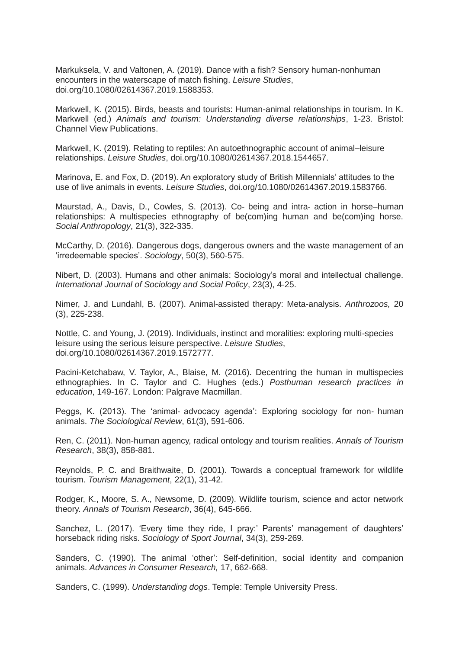Markuksela, V. and Valtonen, A. (2019). Dance with a fish? Sensory human-nonhuman encounters in the waterscape of match fishing. *Leisure Studies*, doi.org/10.1080/02614367.2019.1588353.

Markwell, K. (2015). Birds, beasts and tourists: Human-animal relationships in tourism. In K. Markwell (ed.) *Animals and tourism: Understanding diverse relationships*, 1-23. Bristol: Channel View Publications.

Markwell, K. (2019). Relating to reptiles: An autoethnographic account of animal–leisure relationships. *Leisure Studies*, doi.org/10.1080/02614367.2018.1544657.

Marinova, E. and Fox, D. (2019). An exploratory study of British Millennials' attitudes to the use of live animals in events. *Leisure Studies*, doi.org/10.1080/02614367.2019.1583766.

Maurstad, A., Davis, D., Cowles, S. (2013). Co‐ being and intra‐ action in horse–human relationships: A multispecies ethnography of be(com)ing human and be(com)ing horse. *Social Anthropology*, 21(3), 322-335.

McCarthy, D. (2016). Dangerous dogs, dangerous owners and the waste management of an 'irredeemable species'. *Sociology*, 50(3), 560-575.

Nibert, D. (2003). Humans and other animals: Sociology's moral and intellectual challenge. *International Journal of Sociology and Social Policy*, 23(3), 4-25.

Nimer, J. and Lundahl, B. (2007). Animal-assisted therapy: Meta-analysis. *Anthrozoos,* 20 (3), 225-238.

Nottle, C. and Young, J. (2019). Individuals, instinct and moralities: exploring multi-species leisure using the serious leisure perspective. *Leisure Studies*, doi.org/10.1080/02614367.2019.1572777.

Pacini-Ketchabaw, V. Taylor, A., Blaise, M. (2016). Decentring the human in multispecies ethnographies. In C. Taylor and C. Hughes (eds.) *Posthuman research practices in education*, 149-167. London: Palgrave Macmillan.

Peggs, K. (2013). The 'animal‐ advocacy agenda': Exploring sociology for non‐ human animals. *The Sociological Review*, 61(3), 591-606.

Ren, C. (2011). Non-human agency, radical ontology and tourism realities. *Annals of Tourism Research*, 38(3), 858-881.

Reynolds, P. C. and Braithwaite, D. (2001). Towards a conceptual framework for wildlife tourism. *Tourism Management*, 22(1), 31-42.

Rodger, K., Moore, S. A., Newsome, D. (2009). Wildlife tourism, science and actor network theory. *Annals of Tourism Research*, 36(4), 645-666.

Sanchez, L. (2017). 'Every time they ride, I pray:' Parents' management of daughters' horseback riding risks. *Sociology of Sport Journal*, 34(3), 259-269.

Sanders, C. (1990). The animal 'other': Self-definition, social identity and companion animals. *Advances in Consumer Research,* 17, 662-668.

Sanders, C. (1999). *Understanding dogs*. Temple: Temple University Press.